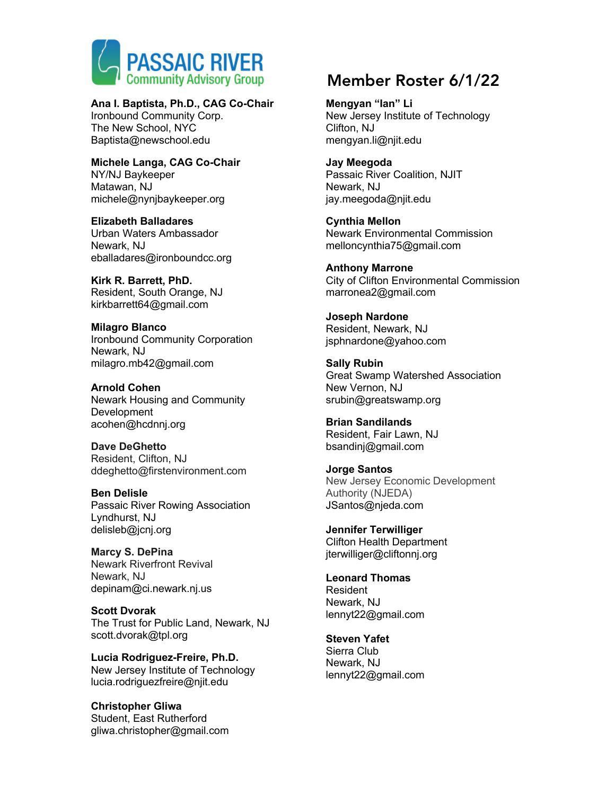

#### **Ana I. Baptista, Ph.D., CAG Co-Chair**

Ironbound Community Corp. The New School, NYC Baptista@newschool.edu

**Michele Langa, CAG Co-Chair** NY/NJ Baykeeper Matawan, NJ michele@nynjbaykeeper.org

**Elizabeth Balladares** Urban Waters Ambassador Newark, NJ eballadares@ironboundcc.org

**Kirk R. Barrett, PhD.** Resident, South Orange, NJ kirkbarrett64@gmail.com

**Milagro Blanco** Ironbound Community Corporation Newark, NJ milagro.mb42@gmail.com

**Arnold Cohen** Newark Housing and Community Development acohen@hcdnnj.org

**Dave DeGhetto** Resident, Clifton, NJ ddeghetto@firstenvironment.com

**Ben Delisle** Passaic River Rowing Association Lyndhurst, NJ delisleb@jcnj.org

**Marcy S. DePina** Newark Riverfront Revival Newark, NJ depinam@ci.newark.nj.us

**Scott Dvorak** The Trust for Public Land, Newark, NJ scott.dvorak@tpl.org

**Lucia Rodriguez-Freire, Ph.D.** New Jersey Institute of Technology lucia.rodriguezfreire@njit.edu

**Christopher Gliwa** Student, East Rutherford gliwa.christopher@gmail.com

# Community Advisory Group Member Roster 6/1/22

**Mengyan "Ian" Li** New Jersey Institute of Technology Clifton, NJ mengyan.li@njit.edu

**Jay Meegoda** Passaic River Coalition, NJIT Newark, NJ jay.meegoda@njit.edu

**Cynthia Mellon** Newark Environmental Commission melloncynthia75@gmail.com

**Anthony Marrone** City of Clifton Environmental Commission marronea2@gmail.com

**Joseph Nardone** Resident, Newark, NJ jsphnardone@yahoo.com

**Sally Rubin** Great Swamp Watershed Association New Vernon, NJ srubin@greatswamp.org

**Brian Sandilands** Resident, Fair Lawn, NJ bsandinj@gmail.com

**Jorge Santos** New Jersey Economic Development Authority (NJEDA) JSantos@njeda.com

**Jennifer Terwilliger** Clifton Health Department jterwilliger@cliftonnj.org

**Leonard Thomas** Resident Newark, NJ lennyt22@gmail.com

**Steven Yafet** Sierra Club Newark, NJ lennyt22@gmail.com